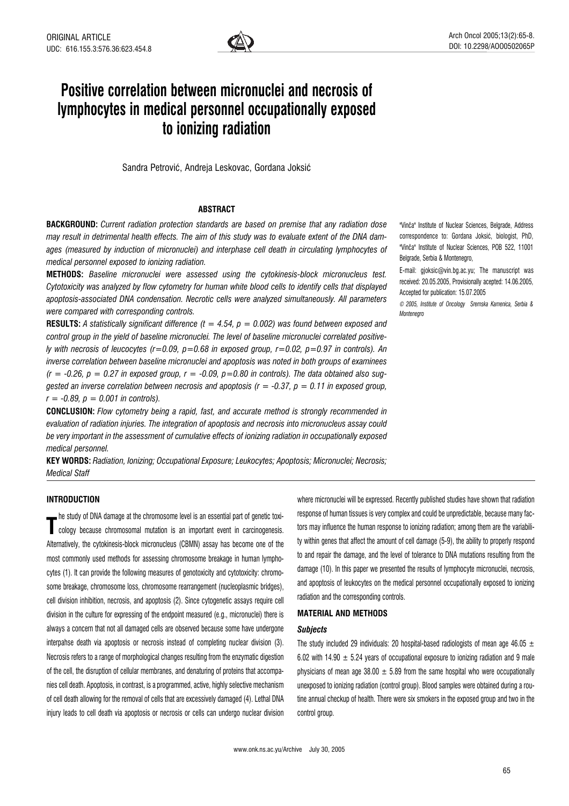

# Positive correlation between micronuclei and necrosis of lymphocytes in medical personnel occupationally exposed to ionizing radiation

Sandra Petrović, Andreja Leskovac, Gordana Joksić

# **ABSTRACT**

BACKGROUND: Current radiation protection standards are based on premise that any radiation dose may result in detrimental health effects. The aim of this study was to evaluate extent of the DNA damages (measured by induction of micronuclei) and interphase cell death in circulating lymphocytes of medical personnel exposed to ionizing radiation.

METHODS: Baseline micronuclei were assessed using the cytokinesis-block micronucleus test. Cytotoxicity was analyzed by flow cytometry for human white blood cells to identify cells that displayed apoptosis-associated DNA condensation. Necrotic cells were analyzed simultaneously. All parameters were compared with corresponding controls.

**RESULTS:** A statistically significant difference ( $t = 4.54$ ,  $p = 0.002$ ) was found between exposed and control group in the yield of baseline micronuclei. The level of baseline micronuclei correlated positively with necrosis of leucocytes (r=0.09,  $p=0.68$  in exposed group, r=0.02,  $p=0.97$  in controls). An inverse correlation between baseline micronuclei and apoptosis was noted in both groups of examinees  $(r = -0.26, p = 0.27$  in exposed group,  $r = -0.09, p = 0.80$  in controls). The data obtained also suggested an inverse correlation between necrosis and apoptosis ( $r = -0.37$ ,  $p = 0.11$  in exposed group,  $r = -0.89$ ,  $p = 0.001$  in controls).

**CONCLUSION:** Flow cytometry being a rapid, fast, and accurate method is strongly recommended in evaluation of radiation injuries. The integration of apoptosis and necrosis into micronucleus assay could be very important in the assessment of cumulative effects of ionizing radiation in occupationally exposed medical personnel.

KEY WORDS: Radiation, Ionizing; Occupational Exposure; Leukocytes; Apoptosis; Micronuclei; Necrosis; Medical Staff

"VinËa" Institute of Nuclear Sciences, Belgrade, Address correspondence to: Gordana Joksić, biologist, PhD, "VinËa" Institute of Nuclear Sciences, POB 522, 11001 Belgrade, Serbia & Montenegro,

E-mail: gjoksic@vin.bg.ac.yu; The manuscript was received: 20.05.2005, Provisionally acepted: 14.06.2005, Accepted for publication: 15.07.2005

© 2005, Institute of Oncology Sremska Kamenica, Serbia & **Montenegro** 

# INTRODUCTION

The staty of DIVA darlingue at the enformed nutration is an important event in carcinogenesis. he study of DNA damage at the chromosome level is an essential part of genetic toxi-Alternatively, the cytokinesis-block micronucleus (CBMN) assay has become one of the most commonly used methods for assessing chromosome breakage in human lymphocytes (1). It can provide the following measures of genotoxicity and cytotoxicity: chromosome breakage, chromosome loss, chromosome rearrangement (nucleoplasmic bridges), cell division inhibition, necrosis, and apoptosis (2). Since cytogenetic assays require cell division in the culture for expressing of the endpoint measured (e.g., micronuclei) there is always a concern that not all damaged cells are observed because some have undergone interpahse death via apoptosis or necrosis instead of completing nuclear division (3). Necrosis refers to a range of morphological changes resulting from the enzymatic digestion of the cell, the disruption of cellular membranes, and denaturing of proteins that accompanies cell death. Apoptosis, in contrast, is a programmed, active, highly selective mechanism of cell death allowing for the removal of cells that are excessively damaged (4). Lethal DNA injury leads to cell death via apoptosis or necrosis or cells can undergo nuclear division

where micronuclei will be expressed. Recently published studies have shown that radiation response of human tissues is very complex and could be unpredictable, because many factors may influence the human response to ionizing radiation; among them are the variability within genes that affect the amount of cell damage (5-9), the ability to properly respond to and repair the damage, and the level of tolerance to DNA mutations resulting from the damage (10). In this paper we presented the results of lymphocyte micronuclei, necrosis, and apoptosis of leukocytes on the medical personnel occupationally exposed to ionizing radiation and the corresponding controls.

# MATERIAL AND METHODS

#### Subjects

The study included 29 individuals: 20 hospital-based radiologists of mean age 46.05  $\pm$ 6.02 with 14.90  $\pm$  5.24 years of occupational exposure to ionizing radiation and 9 male physicians of mean age  $38.00 \pm 5.89$  from the same hospital who were occupationally unexposed to ionizing radiation (control group). Blood samples were obtained during a routine annual checkup of health. There were six smokers in the exposed group and two in the control group.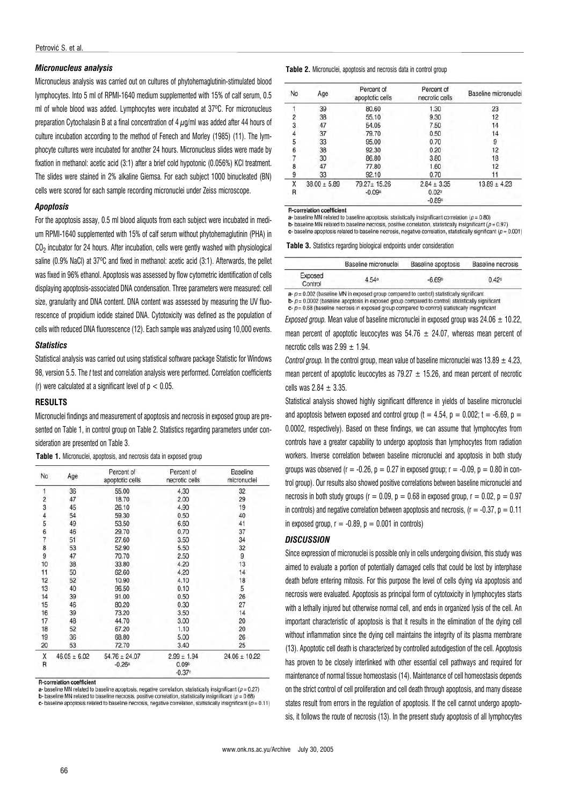## Micronucleus analysis

Micronucleus analysis was carried out on cultures of phytohemaglutinin-stimulated blood lymphocytes. Into 5 ml of RPMI-1640 medium supplemented with 15% of calf serum, 0.5 ml of whole blood was added. Lymphocytes were incubated at 37ºC. For micronucleus preparation Cytochalasin B at a final concentration of 4  $\mu$ g/ml was added after 44 hours of culture incubation according to the method of Fenech and Morley (1985) (11). The lymphocyte cultures were incubated for another 24 hours. Micronucleus slides were made by fixation in methanol: acetic acid (3:1) after a brief cold hypotonic (0.056%) KCl treatment. The slides were stained in 2% alkaline Giemsa. For each subject 1000 binucleated (BN) cells were scored for each sample recording micronuclei under Zeiss microscope.

## **Apoptosis**

For the apoptosis assay, 0.5 ml blood aliquots from each subject were incubated in medium RPMI-1640 supplemented with 15% of calf serum without phytohemaglutinin (PHA) in CO<sub>2</sub> incubator for 24 hours. After incubation, cells were gently washed with physiological saline (0.9% NaCl) at 37ºC and fixed in methanol: acetic acid (3:1). Afterwards, the pellet was fixed in 96% ethanol. Apoptosis was assessed by flow cytometric identification of cells displaying apoptosis-associated DNA condensation. Three parameters were measured: cell size, granularity and DNA content. DNA content was assessed by measuring the UV fluorescence of propidium iodide stained DNA. Cytotoxicity was defined as the population of cells with reduced DNA fluorescence (12). Each sample was analyzed using 10,000 events.

#### **Statistics**

Statistical analysis was carried out using statistical software package Statistic for Windows 98, version 5.5. The t test and correlation analysis were performed. Correlation coefficients (r) were calculated at a significant level of  $p < 0.05$ .

### **RESULTS**

Micronuclei findings and measurement of apoptosis and necrosis in exposed group are presented on Table 1, in control group on Table 2. Statistics regarding parameters under consideration are presented on Table 3.

|  |  | Table 1. Micronuclei, apoptosis, and necrosis data in exposed group |  |  |  |  |  |  |  |
|--|--|---------------------------------------------------------------------|--|--|--|--|--|--|--|
|--|--|---------------------------------------------------------------------|--|--|--|--|--|--|--|

| No            | Age              | Percent of<br>apoptotic cells | Percent of<br>necrotic cells | <b>Baseline</b><br>micronuclei |
|---------------|------------------|-------------------------------|------------------------------|--------------------------------|
| 1             | 36               | 55.00                         | 4.30                         | 32                             |
|               | 47               | 18.70                         | 2.00                         | 29                             |
| $\frac{2}{3}$ | 45               | 26.10                         | 4.90                         | 19                             |
| 4             | 54               | 59.30                         | 0.50                         | 40                             |
| 5             | 49               | 53.50                         | 6.60                         | 41                             |
|               | 46               | 29.70                         | 0.70                         | 37                             |
|               | 51               | 27.60                         | 3.50                         | 34                             |
| 678           | 53               | 52.90                         | 5.50                         | 32                             |
| 9             | 47               | 70.70                         | 2.50                         | 9                              |
| 10            | 38               | 33.80                         | 4.20                         | 13                             |
| 11            | 50               | 62.60                         | 4.20                         | 14                             |
| 12            | 52               | 10.90                         | 4.10                         | 18                             |
| 13            | 40               | 96.50                         | 0.10                         | 5                              |
| 14            | 39               | 91.00                         | 0.50                         | 26                             |
| 15            | 46               | 80.20                         | 0.30                         | 27                             |
| 16            | 39               | 73.20                         | 3.50                         | 14                             |
| 17            | 48               | 44.70                         | 3.00                         | 20                             |
| 18            | 52               | 67.20                         | 1.10                         | 20                             |
| 19            | 36               | 68.80                         | 5.00                         | 26                             |
| 20            | 53               | 72.70                         | 3.40                         | 25                             |
| Χ             | $46.05 \pm 6.02$ | $54.76 \pm 24.07$             | $2.99 \pm 1.94$              | $24.06 \pm 10.22$              |
| R             |                  | $-0.26$ <sup>a</sup>          | 0.09 <sup>b</sup>            |                                |
|               |                  |                               | $-0.37c$                     |                                |

R-correlation coefficient

a- baseline MN related to baseline apoptosis, negative correlation, statistically insignificant ( $p = 0.27$ )

**b**- baseline MN related to baseline necrosis, positive correlation, statistically insignificant  $(p = 0.68)$ 

c- baseline apoptosis related to baseline necrosis, negative correlation, statistically insignificant ( $p = 0.11$ )

| Table 2. Micronuclei, apoptosis and necrosis data in control group |  |  |  |  |  |
|--------------------------------------------------------------------|--|--|--|--|--|
|--------------------------------------------------------------------|--|--|--|--|--|

| No | Age              | Percent of<br>apoptotic cells | Percent of<br>necrotic cells | Baseline micronucle |
|----|------------------|-------------------------------|------------------------------|---------------------|
|    | 39               | 80.60                         | 1.30                         | 23                  |
| 2  | 38               | 55.10                         | 9.30                         | 12                  |
| 3  | 47               | 54.05                         | 7.50                         | 14                  |
| 4  | 37               | 79.70                         | 0.50                         | 14                  |
| 5  | 33               | 95.00                         | 0.70                         | 9                   |
| 6  | 38               | 92.30                         | 0.20                         | 12                  |
|    | 30               | 86.80                         | 3.80                         | 18                  |
| 8  | 47               | 77.80                         | 1.60                         | 12                  |
| 9  | 33               | 92.10                         | 0.70                         |                     |
| X  | $38.00 \pm 5.89$ | 79.27± 15.26                  | $2.84 \pm 3.35$              | $13.89 \pm 4.23$    |
| R  |                  | $-0.09a$                      | 0.02 <sup>b</sup>            |                     |
|    |                  |                               | $-0.89c$                     |                     |

**R-correlation coefficient** 

a- baseline MN related to baseline apoptosis, statistically insignificant correlation ( $p = 0.80$ )

**b**-baseline MN related to baseline necrosis, positive correlation, statistically insignificant  $(p = 0.97)$ <br>**c**- baseline apoptosis related to baseline necrosis, positive correlation, statistically isignificant  $(p = 0.001)$ 

Table 3. Statistics regarding biological endpoints under consideration

|                    | Baseline micronuclei | Baseline apoptosis | Baseline necrosis |
|--------------------|----------------------|--------------------|-------------------|
| Exposed<br>Control | 4.54a                | $-6.69°$           | 0.42c             |

 $a-p = 0.002$  (baseline MN in exposed group compared to control) statistically significant **-**  $p = 0.0002$  **(baseline apoptosis in exposed group compared to control) statistically significant**  $c$ -  $p$  = 0.68 (baseline necrosis in exposed group compared to control) statistically insignificant

Exposed group. Mean value of baseline micronuclei in exposed group was  $24.06 \pm 10.22$ . mean percent of apoptotic leucocytes was  $54.76 \pm 24.07$ , whereas mean percent of necrotic cells was  $2.99 \pm 1.94$ .

Control group. In the control group, mean value of baseline micronuclei was  $13.89 \pm 4.23$ , mean percent of apoptotic leucocytes as  $79.27 \pm 15.26$ , and mean percent of necrotic cells was  $2.84 + 3.35$ .

Statistical analysis showed highly significant difference in yields of baseline micronuclei and apoptosis between exposed and control group (t = 4.54, p = 0.002; t = -6.69, p = 0.0002, respectively). Based on these findings, we can assume that lymphocytes from controls have a greater capability to undergo apoptosis than lymphocytes from radiation workers. Inverse correlation between baseline micronuclei and apoptosis in both study groups was observed ( $r = -0.26$ ,  $p = 0.27$  in exposed group;  $r = -0.09$ ,  $p = 0.80$  in control group). Our results also showed positive correlations between baseline micronuclei and necrosis in both study groups ( $r = 0.09$ ,  $p = 0.68$  in exposed group,  $r = 0.02$ ,  $p = 0.97$ in controls) and negative correlation between apoptosis and necrosis,  $(r = -0.37, p = 0.11)$ in exposed group,  $r = -0.89$ ,  $p = 0.001$  in controls)

#### **DISCUSSION**

Since expression of micronuclei is possible only in cells undergoing division, this study was aimed to evaluate a portion of potentially damaged cells that could be lost by interphase death before entering mitosis. For this purpose the level of cells dying via apoptosis and necrosis were evaluated. Apoptosis as principal form of cytotoxicity in lymphocytes starts with a lethally injured but otherwise normal cell, and ends in organized lysis of the cell. An important characteristic of apoptosis is that it results in the elimination of the dying cell without inflammation since the dying cell maintains the integrity of its plasma membrane (13). Apoptotic cell death is characterized by controlled autodigestion of the cell. Apoptosis has proven to be closely interlinked with other essential cell pathways and required for maintenance of normal tissue homeostasis (14). Maintenance of cell homeostasis depends on the strict control of cell proliferation and cell death through apoptosis, and many disease states result from errors in the regulation of apoptosis. If the cell cannot undergo apoptosis, it follows the route of necrosis (13). In the present study apoptosis of all lymphocytes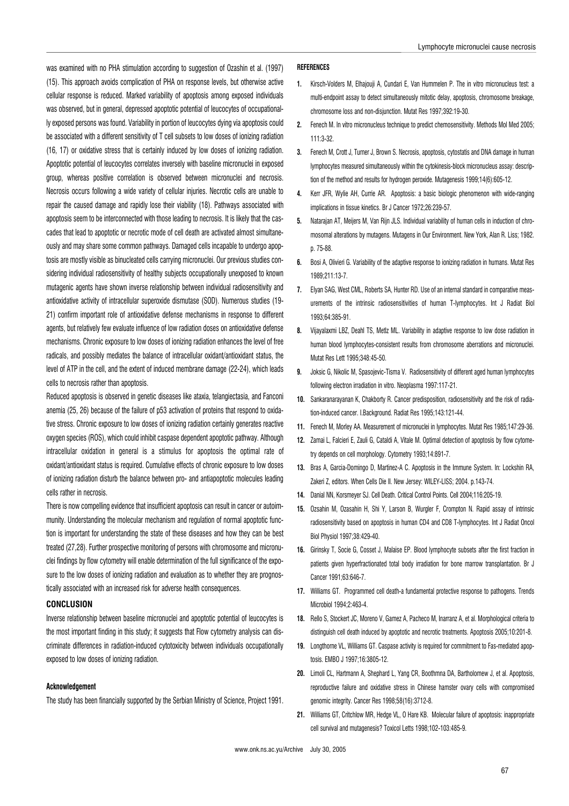was examined with no PHA stimulation according to suggestion of Ozashin et al. (1997) (15). This approach avoids complication of PHA on response levels, but otherwise active cellular response is reduced. Marked variability of apoptosis among exposed individuals was observed, but in general, depressed apoptotic potential of leucocytes of occupationally exposed persons was found. Variability in portion of leucocytes dying via apoptosis could be associated with a different sensitivity of T cell subsets to low doses of ionizing radiation (16, 17) or oxidative stress that is certainly induced by low doses of ionizing radiation. Apoptotic potential of leucocytes correlates inversely with baseline micronuclei in exposed group, whereas positive correlation is observed between micronuclei and necrosis. Necrosis occurs following a wide variety of cellular injuries. Necrotic cells are unable to repair the caused damage and rapidly lose their viability (18). Pathways associated with apoptosis seem to be interconnected with those leading to necrosis. It is likely that the cascades that lead to apoptotic or necrotic mode of cell death are activated almost simultaneously and may share some common pathways. Damaged cells incapable to undergo apoptosis are mostly visible as binucleated cells carrying micronuclei. Our previous studies considering individual radiosensitivity of healthy subjects occupationally unexposed to known mutagenic agents have shown inverse relationship between individual radiosensitivity and antioxidative activity of intracellular superoxide dismutase (SOD). Numerous studies (19- 21) confirm important role of antioxidative defense mechanisms in response to different agents, but relatively few evaluate influence of low radiation doses on antioxidative defense mechanisms. Chronic exposure to low doses of ionizing radiation enhances the level of free radicals, and possibly mediates the balance of intracellular oxidant/antioxidant status, the level of ATP in the cell, and the extent of induced membrane damage (22-24), which leads cells to necrosis rather than apoptosis.

Reduced apoptosis is observed in genetic diseases like ataxia, telangiectasia, and Fanconi anemia (25, 26) because of the failure of p53 activation of proteins that respond to oxidative stress. Chronic exposure to low doses of ionizing radiation certainly generates reactive oxygen species (ROS), which could inhibit caspase dependent apoptotic pathway. Although intracellular oxidation in general is a stimulus for apoptosis the optimal rate of oxidant/antioxidant status is required. Cumulative effects of chronic exposure to low doses of ionizing radiation disturb the balance between pro- and antiapoptotic molecules leading cells rather in necrosis.

There is now compelling evidence that insufficient apoptosis can result in cancer or autoimmunity. Understanding the molecular mechanism and regulation of normal apoptotic function is important for understanding the state of these diseases and how they can be best treated (27,28). Further prospective monitoring of persons with chromosome and micronuclei findings by flow cytometry will enable determination of the full significance of the exposure to the low doses of ionizing radiation and evaluation as to whether they are prognostically associated with an increased risk for adverse health consequences.

# **CONCLUSION**

Inverse relationship between baseline micronuclei and apoptotic potential of leucocytes is the most important finding in this study; it suggests that Flow cytometry analysis can discriminate differences in radiation-induced cytotoxicity between individuals occupationally exposed to low doses of ionizing radiation.

## Acknowledgement

The study has been financially supported by the Serbian Ministry of Science, Project 1991.

## REFERENCES

- 1. Kirsch-Volders M, Elhajouji A, Cundari E, Van Hummelen P. The in vitro micronucleus test: a multi-endpoint assay to detect simultaneously mitotic delay, apoptosis, chromosome breakage, chromosome loss and non-disjunction. Mutat Res 1997;392:19-30.
- 2. Fenech M. In vitro micronucleus technique to predict chemosensitivity. Methods Mol Med 2005; 111:3-32.
- 3. Fenech M, Crott J, Turner J, Brown S. Necrosis, apoptosis, cytostatis and DNA damage in human lymphocytes measured simultaneously within the cytokinesis-block micronucleus assay: description of the method and results for hydrogen peroxide. Mutagenesis 1999;14(6):605-12.
- 4. Kerr JFR, Wylie AH, Currie AR. Apoptosis: a basic biologic phenomenon with wide-ranging implications in tissue kinetics. Br J Cancer 1972;26:239-57.
- 5. Natarajan AT, Meijers M, Van Rijn JLS. Individual variability of human cells in induction of chromosomal alterations by mutagens. Mutagens in Our Environment. New York, Alan R. Liss; 1982. p. 75-88.
- 6. Bosi A, Olivieri G. Variability of the adaptive response to ionizing radiation in humans. Mutat Res 1989;211:13-7.
- 7. Elyan SAG, West CML, Roberts SA, Hunter RD. Use of an internal standard in comparative measurements of the intrinsic radiosensitivities of human T-lymphocytes. Int J Radiat Biol 1993;64:385-91.
- 8. Vijayalaxmi LBZ, Deahl TS, Metlz ML. Variability in adaptive response to low dose radiation in human blood lymphocytes-consistent results from chromosome aberrations and micronuclei. Mutat Res Lett 1995;348:45-50.
- 9. Joksic G, Nikolic M, Spasojevic-Tisma V. Radiosensitivity of different aged human lymphocytes following electron irradiation in vitro. Neoplasma 1997:117-21.
- 10. Sankaranarayanan K, Chakborty R. Cancer predisposition, radiosensitivity and the risk of radiation-induced cancer. I.Background. Radiat Res 1995;143:121-44.
- 11. Fenech M, Morley AA. Measurement of micronuclei in lymphocytes. Mutat Res 1985;147:29-36.
- 12. Zamai L, Falcieri E, Zauli G, Cataldi A, Vitale M, Optimal detection of apoptosis by flow cytometry depends on cell morphology. Cytometry 1993;14:891-7.
- 13. Bras A, Garcia-Domingo D, Martinez-A C. Apoptosis in the Immune System. In: Lockshin RA, Zakeri Z, editors. When Cells Die II. New Jersey: WILEY-LISS; 2004. p.143-74.
- 14. Danial NN, Korsmeyer SJ. Cell Death. Critical Control Points. Cell 2004;116:205-19.
- 15. Ozsahin M, Ozasahin H, Shi Y, Larson B, Wurgler F, Crompton N. Rapid assay of intrinsic radiosensitivity based on apoptosis in human CD4 and CD8 T-lymphocytes. Int J Radiat Oncol Biol Physiol 1997;38:429-40.
- 16. Girinsky T, Socie G, Cosset J, Malaise EP. Blood lymphocyte subsets after the first fraction in patients given hyperfractionated total body irradiation for bone marrow transplantation. Br J Cancer 1991;63:646-7.
- 17. Williams GT. Programmed cell death-a fundamental protective response to pathogens. Trends Microbiol 1994;2:463-4.
- 18. Rello S, Stockert JC, Moreno V, Gamez A, Pacheco M, Inarranz A, et al. Morphological criteria to distinguish cell death induced by apoptotic and necrotic treatments. Apoptosis 2005;10:201-8.
- 19. Longthorne VL, Williams GT. Caspase activity is required for commitment to Fas-mediated apoptosis. EMBO J 1997;16:3805-12.
- 20. Limoli CL, Hartmann A, Shephard L, Yang CR, Boothmna DA, Bartholomew J, et al. Apoptosis, reproductive failure and oxidative stress in Chinese hamster ovary cells with compromised genomic integrity. Cancer Res 1998;58(16):3712-8.
- 21. Williams GT, Critchlow MR, Hedge VL, O Hare KB. Molecular failure of apoptosis: inappropriate cell survival and mutagenesis? Toxicol Letts 1998;102-103:485-9.